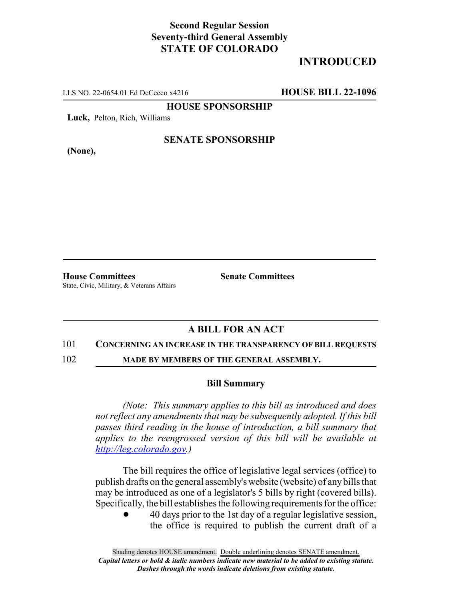### **Second Regular Session Seventy-third General Assembly STATE OF COLORADO**

# **INTRODUCED**

LLS NO. 22-0654.01 Ed DeCecco x4216 **HOUSE BILL 22-1096**

**HOUSE SPONSORSHIP**

**Luck,** Pelton, Rich, Williams

**(None),**

#### **SENATE SPONSORSHIP**

**House Committees Senate Committees** State, Civic, Military, & Veterans Affairs

## **A BILL FOR AN ACT**

#### 101 **CONCERNING AN INCREASE IN THE TRANSPARENCY OF BILL REQUESTS**

102 **MADE BY MEMBERS OF THE GENERAL ASSEMBLY.**

#### **Bill Summary**

*(Note: This summary applies to this bill as introduced and does not reflect any amendments that may be subsequently adopted. If this bill passes third reading in the house of introduction, a bill summary that applies to the reengrossed version of this bill will be available at http://leg.colorado.gov.)*

The bill requires the office of legislative legal services (office) to publish drafts on the general assembly's website (website) of any bills that may be introduced as one of a legislator's 5 bills by right (covered bills). Specifically, the bill establishes the following requirements for the office:

! 40 days prior to the 1st day of a regular legislative session, the office is required to publish the current draft of a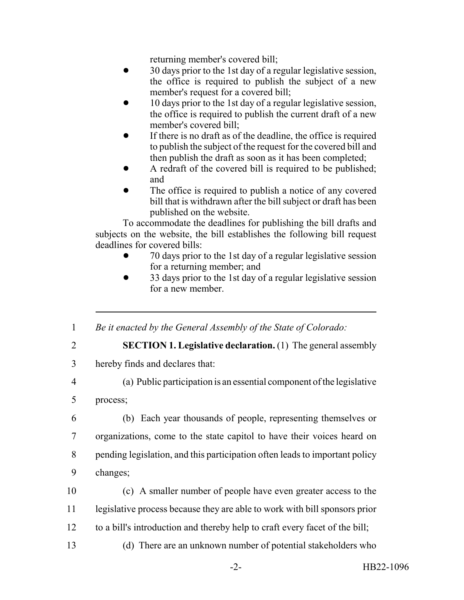returning member's covered bill;

- ! 30 days prior to the 1st day of a regular legislative session, the office is required to publish the subject of a new member's request for a covered bill;
- ! 10 days prior to the 1st day of a regular legislative session, the office is required to publish the current draft of a new member's covered bill;
- If there is no draft as of the deadline, the office is required to publish the subject of the request for the covered bill and then publish the draft as soon as it has been completed;
- A redraft of the covered bill is required to be published; and
- The office is required to publish a notice of any covered bill that is withdrawn after the bill subject or draft has been published on the website.

To accommodate the deadlines for publishing the bill drafts and subjects on the website, the bill establishes the following bill request deadlines for covered bills:

- ! 70 days prior to the 1st day of a regular legislative session for a returning member; and
- ! 33 days prior to the 1st day of a regular legislative session for a new member.
- 1 *Be it enacted by the General Assembly of the State of Colorado:*
- 

2 **SECTION 1. Legislative declaration.** (1) The general assembly

- 3 hereby finds and declares that:
- 

4 (a) Public participation is an essential component of the legislative

5 process;

- 6 (b) Each year thousands of people, representing themselves or 7 organizations, come to the state capitol to have their voices heard on 8 pending legislation, and this participation often leads to important policy 9 changes;
	- 10 (c) A smaller number of people have even greater access to the 11 legislative process because they are able to work with bill sponsors prior 12 to a bill's introduction and thereby help to craft every facet of the bill;
		-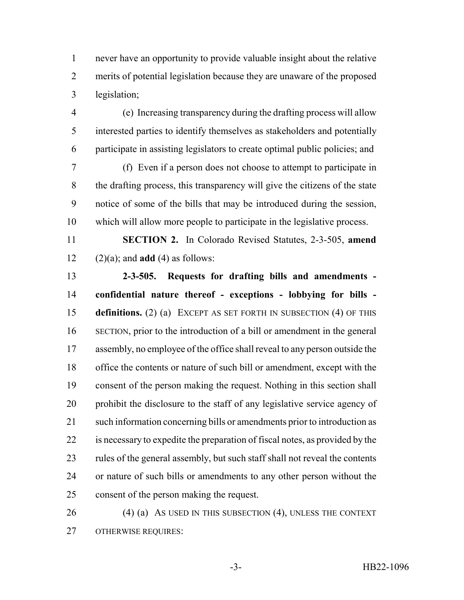never have an opportunity to provide valuable insight about the relative merits of potential legislation because they are unaware of the proposed legislation;

 (e) Increasing transparency during the drafting process will allow interested parties to identify themselves as stakeholders and potentially participate in assisting legislators to create optimal public policies; and

 (f) Even if a person does not choose to attempt to participate in the drafting process, this transparency will give the citizens of the state notice of some of the bills that may be introduced during the session, which will allow more people to participate in the legislative process.

 **SECTION 2.** In Colorado Revised Statutes, 2-3-505, **amend** 12  $(2)(a)$ ; and **add** (4) as follows:

 **2-3-505. Requests for drafting bills and amendments - confidential nature thereof - exceptions - lobbying for bills - definitions.** (2) (a) EXCEPT AS SET FORTH IN SUBSECTION (4) OF THIS SECTION, prior to the introduction of a bill or amendment in the general assembly, no employee of the office shall reveal to any person outside the office the contents or nature of such bill or amendment, except with the consent of the person making the request. Nothing in this section shall prohibit the disclosure to the staff of any legislative service agency of such information concerning bills or amendments prior to introduction as is necessary to expedite the preparation of fiscal notes, as provided by the 23 rules of the general assembly, but such staff shall not reveal the contents or nature of such bills or amendments to any other person without the consent of the person making the request.

26 (4) (a) As USED IN THIS SUBSECTION (4), UNLESS THE CONTEXT OTHERWISE REQUIRES: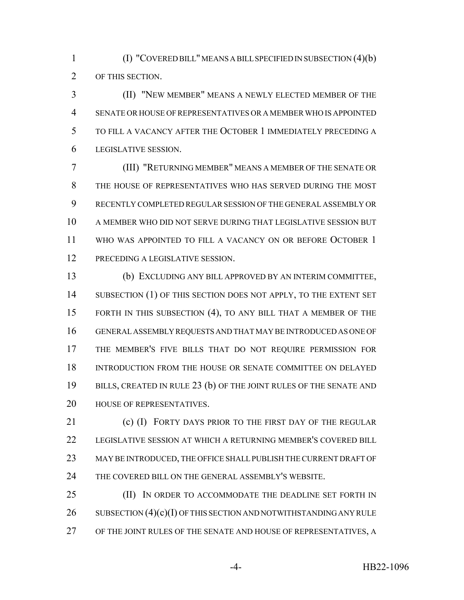(I) "COVERED BILL" MEANS A BILL SPECIFIED IN SUBSECTION (4)(b) OF THIS SECTION.

 (II) "NEW MEMBER" MEANS A NEWLY ELECTED MEMBER OF THE SENATE OR HOUSE OF REPRESENTATIVES OR A MEMBER WHO IS APPOINTED TO FILL A VACANCY AFTER THE OCTOBER 1 IMMEDIATELY PRECEDING A LEGISLATIVE SESSION.

 (III) "RETURNING MEMBER" MEANS A MEMBER OF THE SENATE OR THE HOUSE OF REPRESENTATIVES WHO HAS SERVED DURING THE MOST RECENTLY COMPLETED REGULAR SESSION OF THE GENERAL ASSEMBLY OR A MEMBER WHO DID NOT SERVE DURING THAT LEGISLATIVE SESSION BUT WHO WAS APPOINTED TO FILL A VACANCY ON OR BEFORE OCTOBER 1 12 PRECEDING A LEGISLATIVE SESSION.

 (b) EXCLUDING ANY BILL APPROVED BY AN INTERIM COMMITTEE, 14 SUBSECTION (1) OF THIS SECTION DOES NOT APPLY, TO THE EXTENT SET FORTH IN THIS SUBSECTION (4), TO ANY BILL THAT A MEMBER OF THE GENERAL ASSEMBLY REQUESTS AND THAT MAY BE INTRODUCED AS ONE OF THE MEMBER'S FIVE BILLS THAT DO NOT REQUIRE PERMISSION FOR INTRODUCTION FROM THE HOUSE OR SENATE COMMITTEE ON DELAYED 19 BILLS, CREATED IN RULE 23 (b) OF THE JOINT RULES OF THE SENATE AND HOUSE OF REPRESENTATIVES.

21 (c) (I) FORTY DAYS PRIOR TO THE FIRST DAY OF THE REGULAR LEGISLATIVE SESSION AT WHICH A RETURNING MEMBER'S COVERED BILL MAY BE INTRODUCED, THE OFFICE SHALL PUBLISH THE CURRENT DRAFT OF THE COVERED BILL ON THE GENERAL ASSEMBLY'S WEBSITE.

**(II)** IN ORDER TO ACCOMMODATE THE DEADLINE SET FORTH IN 26 SUBSECTION  $(4)(c)(I)$  OF THIS SECTION AND NOTWITHSTANDING ANY RULE OF THE JOINT RULES OF THE SENATE AND HOUSE OF REPRESENTATIVES, A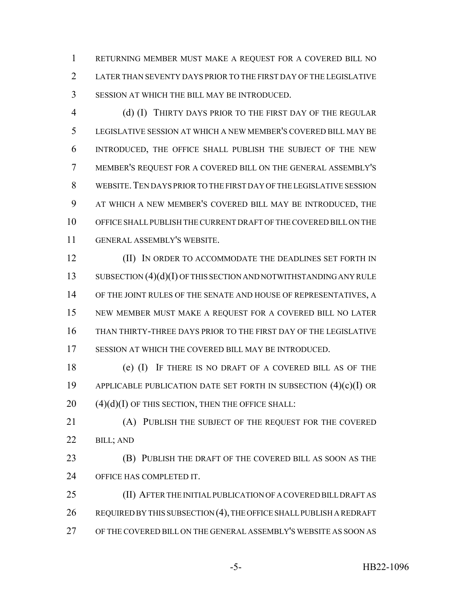RETURNING MEMBER MUST MAKE A REQUEST FOR A COVERED BILL NO LATER THAN SEVENTY DAYS PRIOR TO THE FIRST DAY OF THE LEGISLATIVE SESSION AT WHICH THE BILL MAY BE INTRODUCED.

 (d) (I) THIRTY DAYS PRIOR TO THE FIRST DAY OF THE REGULAR LEGISLATIVE SESSION AT WHICH A NEW MEMBER'S COVERED BILL MAY BE INTRODUCED, THE OFFICE SHALL PUBLISH THE SUBJECT OF THE NEW MEMBER'S REQUEST FOR A COVERED BILL ON THE GENERAL ASSEMBLY'S WEBSITE.TEN DAYS PRIOR TO THE FIRST DAY OF THE LEGISLATIVE SESSION AT WHICH A NEW MEMBER'S COVERED BILL MAY BE INTRODUCED, THE OFFICE SHALL PUBLISH THE CURRENT DRAFT OF THE COVERED BILL ON THE GENERAL ASSEMBLY'S WEBSITE.

**(II)** IN ORDER TO ACCOMMODATE THE DEADLINES SET FORTH IN 13 SUBSECTION (4)(d)(I) OF THIS SECTION AND NOTWITHSTANDING ANY RULE OF THE JOINT RULES OF THE SENATE AND HOUSE OF REPRESENTATIVES, A NEW MEMBER MUST MAKE A REQUEST FOR A COVERED BILL NO LATER THAN THIRTY-THREE DAYS PRIOR TO THE FIRST DAY OF THE LEGISLATIVE SESSION AT WHICH THE COVERED BILL MAY BE INTRODUCED.

 (e) (I) IF THERE IS NO DRAFT OF A COVERED BILL AS OF THE APPLICABLE PUBLICATION DATE SET FORTH IN SUBSECTION (4)(c)(I) OR (4)(d)(I) OF THIS SECTION, THEN THE OFFICE SHALL:

 (A) PUBLISH THE SUBJECT OF THE REQUEST FOR THE COVERED BILL; AND

 (B) PUBLISH THE DRAFT OF THE COVERED BILL AS SOON AS THE OFFICE HAS COMPLETED IT.

 (II) AFTER THE INITIAL PUBLICATION OF A COVERED BILL DRAFT AS 26 REQUIRED BY THIS SUBSECTION (4), THE OFFICE SHALL PUBLISH A REDRAFT OF THE COVERED BILL ON THE GENERAL ASSEMBLY'S WEBSITE AS SOON AS